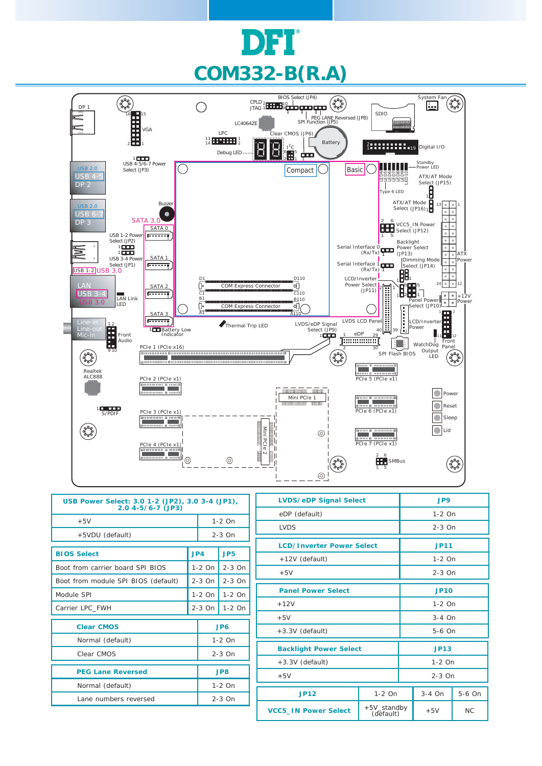



| USB Power Select: 3.0 1-2 (JP2), 3.0 3-4 (JP1),<br>$2.04 - 5/6 - 7$ (JP3) |          |                      |                 |  |  |
|---------------------------------------------------------------------------|----------|----------------------|-----------------|--|--|
| $+5V$                                                                     |          | $1-2$ On             |                 |  |  |
| +5VDU (default)                                                           |          |                      | $2-3$ On        |  |  |
| <b>BIOS Select</b>                                                        |          | JPA                  | JP <sub>5</sub> |  |  |
| Boot from carrier board SPI BIOS                                          | $1-2$ On |                      | $2-3$ On        |  |  |
| Boot from module SPI BIOS (default)                                       | $2-3$ On |                      | $2-3$ On        |  |  |
| Module SPI                                                                | $1-2$ On |                      | $1-2$ On        |  |  |
| Carrier LPC_FWH                                                           |          | $2-3$ On<br>$1-2$ On |                 |  |  |
| <b>Clear CMOS</b>                                                         |          | JP6                  |                 |  |  |
| Normal (default)                                                          |          | $1-2$ On             |                 |  |  |
| Clear CMOS                                                                |          | $2-3$ On             |                 |  |  |
| <b>PEG Lane Reversed</b>                                                  |          | JP8                  |                 |  |  |
| Normal (default)                                                          |          | $1-2$ On             |                 |  |  |
| Lane numbers reversed                                                     |          | $2-3$ On             |                 |  |  |

| <b>LVDS/eDP Signal Select</b>    |                                   | JP9    |             |        |  |
|----------------------------------|-----------------------------------|--------|-------------|--------|--|
| eDP (default)                    |                                   |        | $1-2$ On    |        |  |
| <b>LVDS</b>                      |                                   |        | $2-3$ On    |        |  |
| <b>LCD/Inverter Power Select</b> |                                   |        | <b>JP11</b> |        |  |
| +12V (default)                   |                                   |        | $1-2$ On    |        |  |
| $+5V$                            |                                   |        | $2-3$ On    |        |  |
|                                  |                                   |        |             |        |  |
| <b>Panel Power Select</b>        |                                   |        | <b>JP10</b> |        |  |
| $+12V$                           |                                   |        | $1-2$ On    |        |  |
| $+5V$                            |                                   |        | $3-4$ On    |        |  |
| $+3.3V$ (default)                |                                   | 5-6 On |             |        |  |
|                                  |                                   |        |             |        |  |
| <b>Backlight Power Select</b>    |                                   | JP13   |             |        |  |
| +3.3V (default)<br>$1-2$ On      |                                   |        |             |        |  |
| $2-3$ On<br>$+5V$                |                                   |        |             |        |  |
|                                  |                                   |        |             |        |  |
| <b>JP12</b>                      | $1-2$ On                          |        | 3-4 On      | 5-6 On |  |
| <b>VCC5_IN Power Select</b>      | +5V_standby<br>$+5V$<br>(default) |        | NC          |        |  |